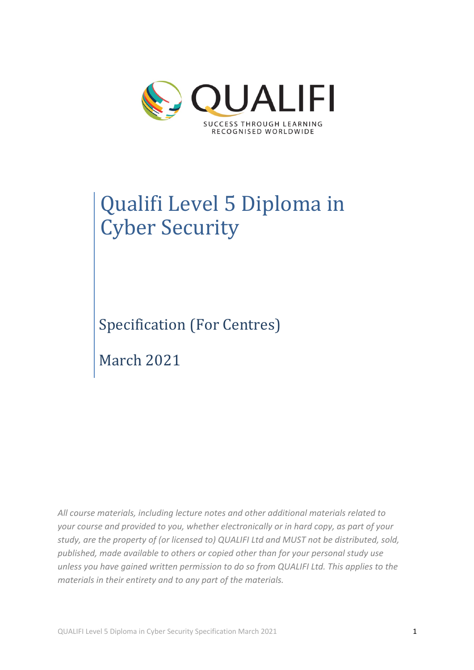

# Qualifi Level 5 Diploma in **Cyber Security**

Specification (For Centres)

March 2021

*All course materials, including lecture notes and other additional materials related to your course and provided to you, whether electronically or in hard copy, as part of your study, are the property of (or licensed to) QUALIFI Ltd and MUST not be distributed, sold, published, made available to others or copied other than for your personal study use unless you have gained written permission to do so from QUALIFI Ltd. This applies to the materials in their entirety and to any part of the materials.*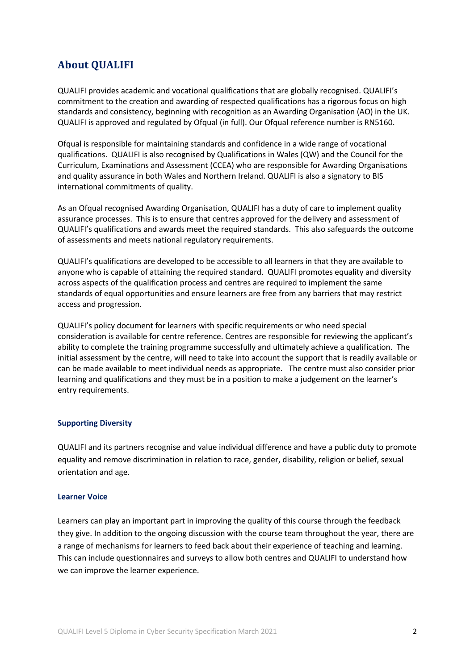# **About QUALIFI**

QUALIFI provides academic and vocational qualifications that are globally recognised. QUALIFI's commitment to the creation and awarding of respected qualifications has a rigorous focus on high standards and consistency, beginning with recognition as an Awarding Organisation (AO) in the UK. QUALIFI is approved and regulated by Ofqual (in full). Our Ofqual reference number is RN5160.

Ofqual is responsible for maintaining standards and confidence in a wide range of vocational qualifications. QUALIFI is also recognised by Qualifications in Wales (QW) and the Council for the Curriculum, Examinations and Assessment (CCEA) who are responsible for Awarding Organisations and quality assurance in both Wales and Northern Ireland. QUALIFI is also a signatory to BIS international commitments of quality.

As an Ofqual recognised Awarding Organisation, QUALIFI has a duty of care to implement quality assurance processes. This is to ensure that centres approved for the delivery and assessment of QUALIFI's qualifications and awards meet the required standards. This also safeguards the outcome of assessments and meets national regulatory requirements.

QUALIFI's qualifications are developed to be accessible to all learners in that they are available to anyone who is capable of attaining the required standard. QUALIFI promotes equality and diversity across aspects of the qualification process and centres are required to implement the same standards of equal opportunities and ensure learners are free from any barriers that may restrict access and progression.

QUALIFI's policy document for learners with specific requirements or who need special consideration is available for centre reference. Centres are responsible for reviewing the applicant's ability to complete the training programme successfully and ultimately achieve a qualification. The initial assessment by the centre, will need to take into account the support that is readily available or can be made available to meet individual needs as appropriate. The centre must also consider prior learning and qualifications and they must be in a position to make a judgement on the learner's entry requirements.

#### **Supporting Diversity**

QUALIFI and its partners recognise and value individual difference and have a public duty to promote equality and remove discrimination in relation to race, gender, disability, religion or belief, sexual orientation and age.

#### **Learner Voice**

Learners can play an important part in improving the quality of this course through the feedback they give. In addition to the ongoing discussion with the course team throughout the year, there are a range of mechanisms for learners to feed back about their experience of teaching and learning. This can include questionnaires and surveys to allow both centres and QUALIFI to understand how we can improve the learner experience.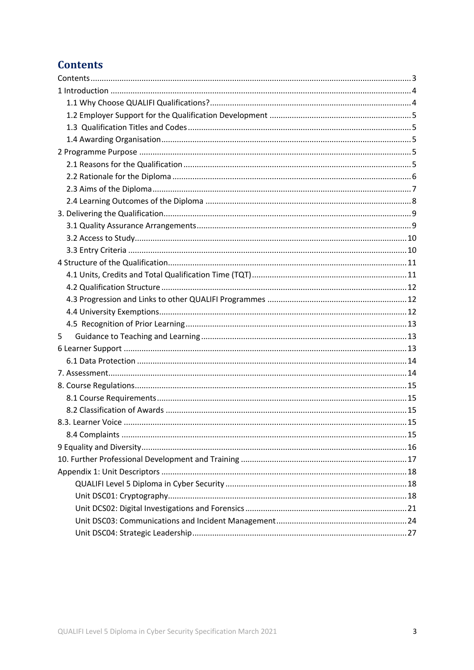# **Contents**

| 5 |  |
|---|--|
|   |  |
|   |  |
|   |  |
|   |  |
|   |  |
|   |  |
|   |  |
|   |  |
|   |  |
|   |  |
|   |  |
|   |  |
|   |  |
|   |  |
|   |  |
|   |  |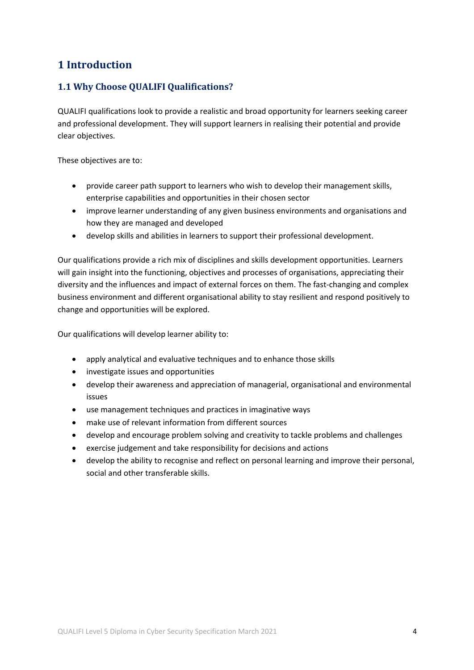# **1 Introduction**

### **1.1 Why Choose QUALIFI Qualifications?**

QUALIFI qualifications look to provide a realistic and broad opportunity for learners seeking career and professional development. They will support learners in realising their potential and provide clear objectives.

These objectives are to:

- provide career path support to learners who wish to develop their management skills, enterprise capabilities and opportunities in their chosen sector
- improve learner understanding of any given business environments and organisations and how they are managed and developed
- develop skills and abilities in learners to support their professional development.

Our qualifications provide a rich mix of disciplines and skills development opportunities. Learners will gain insight into the functioning, objectives and processes of organisations, appreciating their diversity and the influences and impact of external forces on them. The fast-changing and complex business environment and different organisational ability to stay resilient and respond positively to change and opportunities will be explored.

Our qualifications will develop learner ability to:

- apply analytical and evaluative techniques and to enhance those skills
- investigate issues and opportunities
- develop their awareness and appreciation of managerial, organisational and environmental issues
- use management techniques and practices in imaginative ways
- make use of relevant information from different sources
- develop and encourage problem solving and creativity to tackle problems and challenges
- exercise judgement and take responsibility for decisions and actions
- develop the ability to recognise and reflect on personal learning and improve their personal, social and other transferable skills.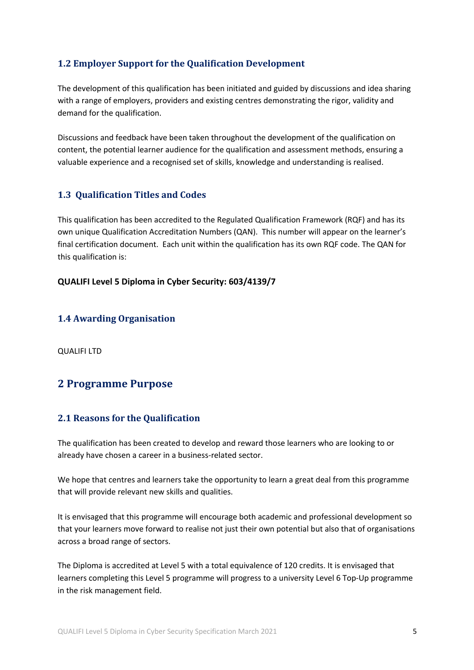# **1.2 Employer Support for the Qualification Development**

The development of this qualification has been initiated and guided by discussions and idea sharing with a range of employers, providers and existing centres demonstrating the rigor, validity and demand for the qualification.

Discussions and feedback have been taken throughout the development of the qualification on content, the potential learner audience for the qualification and assessment methods, ensuring a valuable experience and a recognised set of skills, knowledge and understanding is realised.

### **1.3 Qualification Titles and Codes**

This qualification has been accredited to the Regulated Qualification Framework (RQF) and has its own unique Qualification Accreditation Numbers (QAN). This number will appear on the learner's final certification document. Each unit within the qualification has its own RQF code. The QAN for this qualification is:

### **QUALIFI Level 5 Diploma in Cyber Security: 603/4139/7**

### **1.4 Awarding Organisation**

QUALIFI LTD

# **2 Programme Purpose**

### **2.1 Reasons for the Qualification**

The qualification has been created to develop and reward those learners who are looking to or already have chosen a career in a business-related sector.

We hope that centres and learners take the opportunity to learn a great deal from this programme that will provide relevant new skills and qualities.

It is envisaged that this programme will encourage both academic and professional development so that your learners move forward to realise not just their own potential but also that of organisations across a broad range of sectors.

The Diploma is accredited at Level 5 with a total equivalence of 120 credits. It is envisaged that learners completing this Level 5 programme will progress to a university Level 6 Top-Up programme in the risk management field.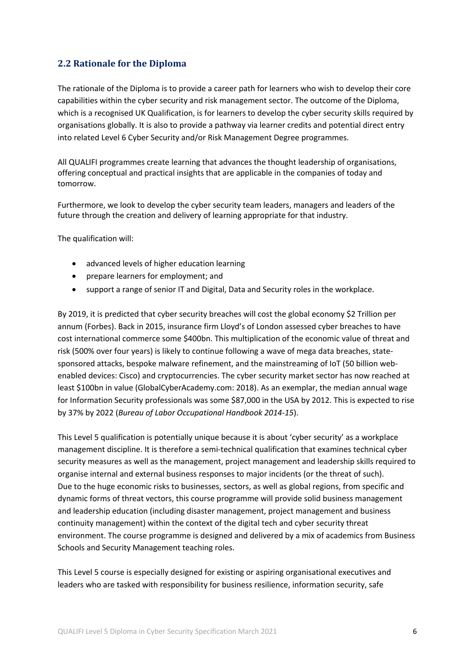### **2.2 Rationale for the Diploma**

The rationale of the Diploma is to provide a career path for learners who wish to develop their core capabilities within the cyber security and risk management sector. The outcome of the Diploma, which is a recognised UK Qualification, is for learners to develop the cyber security skills required by organisations globally. It is also to provide a pathway via learner credits and potential direct entry into related Level 6 Cyber Security and/or Risk Management Degree programmes.

All QUALIFI programmes create learning that advances the thought leadership of organisations, offering conceptual and practical insights that are applicable in the companies of today and tomorrow.

Furthermore, we look to develop the cyber security team leaders, managers and leaders of the future through the creation and delivery of learning appropriate for that industry.

The qualification will:

- advanced levels of higher education learning
- prepare learners for employment; and
- support a range of senior IT and Digital, Data and Security roles in the workplace.

By 2019, it is predicted that cyber security breaches will cost the global economy \$2 Trillion per annum (Forbes). Back in 2015, insurance firm Lloyd's of London assessed cyber breaches to have cost international commerce some \$400bn. This multiplication of the economic value of threat and risk (500% over four years) is likely to continue following a wave of mega data breaches, statesponsored attacks, bespoke malware refinement, and the mainstreaming of IoT (50 billion webenabled devices: Cisco) and cryptocurrencies. The cyber security market sector has now reached at least \$100bn in value (GlobalCyberAcademy.com: 2018). As an exemplar, the median annual wage for Information Security professionals was some \$87,000 in the USA by 2012. This is expected to rise by 37% by 2022 (*Bureau of Labor Occupational Handbook 2014-15*).

This Level 5 qualification is potentially unique because it is about 'cyber security' as a workplace management discipline. It is therefore a semi-technical qualification that examines technical cyber security measures as well as the management, project management and leadership skills required to organise internal and external business responses to major incidents (or the threat of such). Due to the huge economic risks to businesses, sectors, as well as global regions, from specific and dynamic forms of threat vectors, this course programme will provide solid business management and leadership education (including disaster management, project management and business continuity management) within the context of the digital tech and cyber security threat environment. The course programme is designed and delivered by a mix of academics from Business Schools and Security Management teaching roles.

This Level 5 course is especially designed for existing or aspiring organisational executives and leaders who are tasked with responsibility for business resilience, information security, safe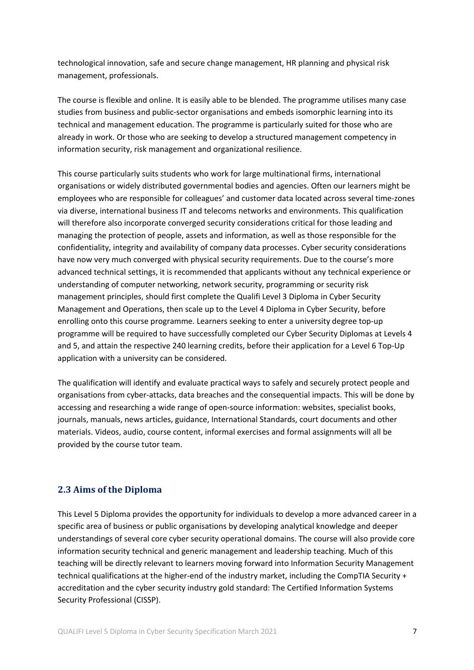technological innovation, safe and secure change management, HR planning and physical risk management, professionals.

The course is flexible and online. It is easily able to be blended. The programme utilises many case studies from business and public-sector organisations and embeds isomorphic learning into its technical and management education. The programme is particularly suited for those who are already in work. Or those who are seeking to develop a structured management competency in information security, risk management and organizational resilience.

This course particularly suits students who work for large multinational firms, international organisations or widely distributed governmental bodies and agencies. Often our learners might be employees who are responsible for colleagues' and customer data located across several time-zones via diverse, international business IT and telecoms networks and environments. This qualification will therefore also incorporate converged security considerations critical for those leading and managing the protection of people, assets and information, as well as those responsible for the confidentiality, integrity and availability of company data processes. Cyber security considerations have now very much converged with physical security requirements. Due to the course's more advanced technical settings, it is recommended that applicants without any technical experience or understanding of computer networking, network security, programming or security risk management principles, should first complete the Qualifi Level 3 Diploma in Cyber Security Management and Operations, then scale up to the Level 4 Diploma in Cyber Security, before enrolling onto this course programme. Learners seeking to enter a university degree top-up programme will be required to have successfully completed our Cyber Security Diplomas at Levels 4 and 5, and attain the respective 240 learning credits, before their application for a Level 6 Top-Up application with a university can be considered.

The qualification will identify and evaluate practical ways to safely and securely protect people and organisations from cyber-attacks, data breaches and the consequential impacts. This will be done by accessing and researching a wide range of open-source information: websites, specialist books, journals, manuals, news articles, guidance, International Standards, court documents and other materials. Videos, audio, course content, informal exercises and formal assignments will all be provided by the course tutor team.

### **2.3 Aims of the Diploma**

This Level 5 Diploma provides the opportunity for individuals to develop a more advanced career in a specific area of business or public organisations by developing analytical knowledge and deeper understandings of several core cyber security operational domains. The course will also provide core information security technical and generic management and leadership teaching. Much of this teaching will be directly relevant to learners moving forward into Information Security Management technical qualifications at the higher-end of the industry market, including the CompTIA Security + accreditation and the cyber security industry gold standard: The Certified Information Systems Security Professional (CISSP).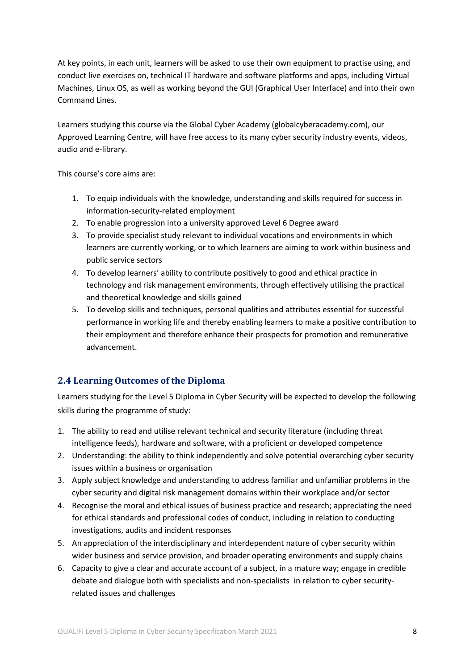At key points, in each unit, learners will be asked to use their own equipment to practise using, and conduct live exercises on, technical IT hardware and software platforms and apps, including Virtual Machines, Linux OS, as well as working beyond the GUI (Graphical User Interface) and into their own Command Lines.

Learners studying this course via the Global Cyber Academy (globalcyberacademy.com), our Approved Learning Centre, will have free access to its many cyber security industry events, videos, audio and e-library.

This course's core aims are:

- 1. To equip individuals with the knowledge, understanding and skills required for success in information-security-related employment
- 2. To enable progression into a university approved Level 6 Degree award
- 3. To provide specialist study relevant to individual vocations and environments in which learners are currently working, or to which learners are aiming to work within business and public service sectors
- 4. To develop learners' ability to contribute positively to good and ethical practice in technology and risk management environments, through effectively utilising the practical and theoretical knowledge and skills gained
- 5. To develop skills and techniques, personal qualities and attributes essential for successful performance in working life and thereby enabling learners to make a positive contribution to their employment and therefore enhance their prospects for promotion and remunerative advancement.

# **2.4 Learning Outcomes of the Diploma**

Learners studying for the Level 5 Diploma in Cyber Security will be expected to develop the following skills during the programme of study:

- 1. The ability to read and utilise relevant technical and security literature (including threat intelligence feeds), hardware and software, with a proficient or developed competence
- 2. Understanding: the ability to think independently and solve potential overarching cyber security issues within a business or organisation
- 3. Apply subject knowledge and understanding to address familiar and unfamiliar problems in the cyber security and digital risk management domains within their workplace and/or sector
- 4. Recognise the moral and ethical issues of business practice and research; appreciating the need for ethical standards and professional codes of conduct, including in relation to conducting investigations, audits and incident responses
- 5. An appreciation of the interdisciplinary and interdependent nature of cyber security within wider business and service provision, and broader operating environments and supply chains
- 6. Capacity to give a clear and accurate account of a subject, in a mature way; engage in credible debate and dialogue both with specialists and non-specialists in relation to cyber securityrelated issues and challenges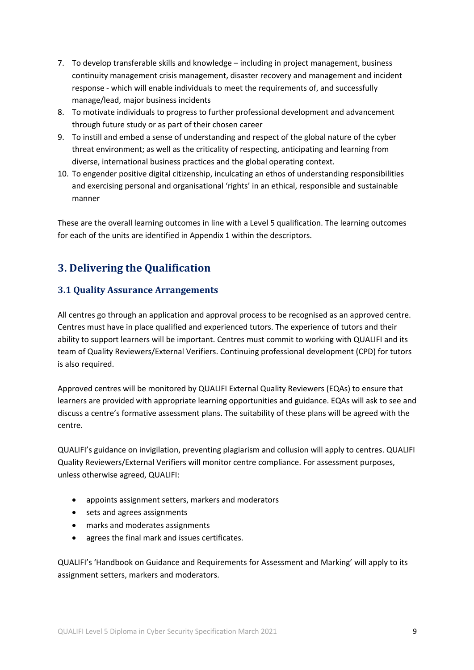- 7. To develop transferable skills and knowledge including in project management, business continuity management crisis management, disaster recovery and management and incident response - which will enable individuals to meet the requirements of, and successfully manage/lead, major business incidents
- 8. To motivate individuals to progress to further professional development and advancement through future study or as part of their chosen career
- 9. To instill and embed a sense of understanding and respect of the global nature of the cyber threat environment; as well as the criticality of respecting, anticipating and learning from diverse, international business practices and the global operating context.
- 10. To engender positive digital citizenship, inculcating an ethos of understanding responsibilities and exercising personal and organisational 'rights' in an ethical, responsible and sustainable manner

These are the overall learning outcomes in line with a Level 5 qualification. The learning outcomes for each of the units are identified in Appendix 1 within the descriptors.

# **3. Delivering the Qualification**

# **3.1 Quality Assurance Arrangements**

All centres go through an application and approval process to be recognised as an approved centre. Centres must have in place qualified and experienced tutors. The experience of tutors and their ability to support learners will be important. Centres must commit to working with QUALIFI and its team of Quality Reviewers/External Verifiers. Continuing professional development (CPD) for tutors is also required.

Approved centres will be monitored by QUALIFI External Quality Reviewers (EQAs) to ensure that learners are provided with appropriate learning opportunities and guidance. EQAs will ask to see and discuss a centre's formative assessment plans. The suitability of these plans will be agreed with the centre.

QUALIFI's guidance on invigilation, preventing plagiarism and collusion will apply to centres. QUALIFI Quality Reviewers/External Verifiers will monitor centre compliance. For assessment purposes, unless otherwise agreed, QUALIFI:

- appoints assignment setters, markers and moderators
- sets and agrees assignments
- marks and moderates assignments
- agrees the final mark and issues certificates.

QUALIFI's 'Handbook on Guidance and Requirements for Assessment and Marking' will apply to its assignment setters, markers and moderators.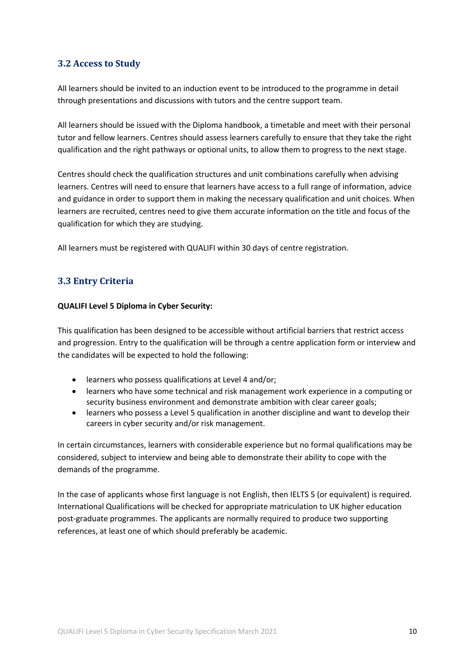### **3.2 Access to Study**

All learners should be invited to an induction event to be introduced to the programme in detail through presentations and discussions with tutors and the centre support team.

All learners should be issued with the Diploma handbook, a timetable and meet with their personal tutor and fellow learners. Centres should assess learners carefully to ensure that they take the right qualification and the right pathways or optional units, to allow them to progress to the next stage.

Centres should check the qualification structures and unit combinations carefully when advising learners. Centres will need to ensure that learners have access to a full range of information, advice and guidance in order to support them in making the necessary qualification and unit choices. When learners are recruited, centres need to give them accurate information on the title and focus of the qualification for which they are studying.

All learners must be registered with QUALIFI within 30 days of centre registration.

# **3.3 Entry Criteria**

### **QUALIFI Level 5 Diploma in Cyber Security:**

This qualification has been designed to be accessible without artificial barriers that restrict access and progression. Entry to the qualification will be through a centre application form or interview and the candidates will be expected to hold the following:

- learners who possess qualifications at Level 4 and/or;
- learners who have some technical and risk management work experience in a computing or security business environment and demonstrate ambition with clear career goals;
- learners who possess a Level 5 qualification in another discipline and want to develop their careers in cyber security and/or risk management.

In certain circumstances, learners with considerable experience but no formal qualifications may be considered, subject to interview and being able to demonstrate their ability to cope with the demands of the programme.

In the case of applicants whose first language is not English, then IELTS 5 (or equivalent) is required. International Qualifications will be checked for appropriate matriculation to UK higher education post-graduate programmes. The applicants are normally required to produce two supporting references, at least one of which should preferably be academic.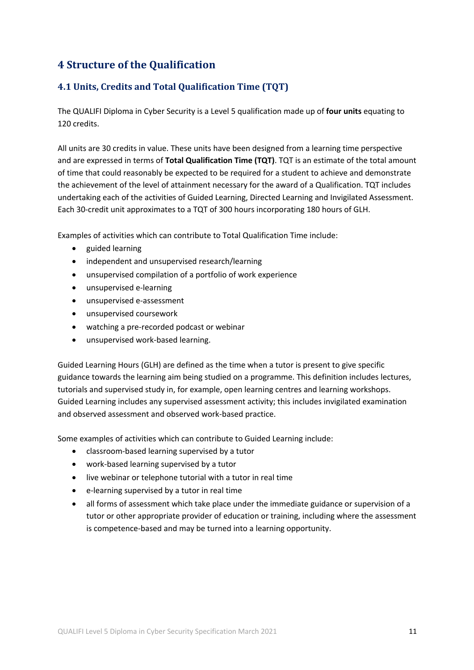# **4 Structure of the Qualification**

# **4.1 Units, Credits and Total Qualification Time (TQT)**

The QUALIFI Diploma in Cyber Security is a Level 5 qualification made up of **four units** equating to 120 credits.

All units are 30 credits in value. These units have been designed from a learning time perspective and are expressed in terms of **Total Qualification Time (TQT)**. TQT is an estimate of the total amount of time that could reasonably be expected to be required for a student to achieve and demonstrate the achievement of the level of attainment necessary for the award of a Qualification. TQT includes undertaking each of the activities of Guided Learning, Directed Learning and Invigilated Assessment. Each 30-credit unit approximates to a TQT of 300 hours incorporating 180 hours of GLH.

Examples of activities which can contribute to Total Qualification Time include:

- guided learning
- independent and unsupervised research/learning
- unsupervised compilation of a portfolio of work experience
- unsupervised e-learning
- unsupervised e-assessment
- unsupervised coursework
- watching a pre-recorded podcast or webinar
- unsupervised work-based learning.

Guided Learning Hours (GLH) are defined as the time when a tutor is present to give specific guidance towards the learning aim being studied on a programme. This definition includes lectures, tutorials and supervised study in, for example, open learning centres and learning workshops. Guided Learning includes any supervised assessment activity; this includes invigilated examination and observed assessment and observed work-based practice.

Some examples of activities which can contribute to Guided Learning include:

- classroom-based learning supervised by a tutor
- work-based learning supervised by a tutor
- live webinar or telephone tutorial with a tutor in real time
- e-learning supervised by a tutor in real time
- all forms of assessment which take place under the immediate guidance or supervision of a tutor or other appropriate provider of education or training, including where the assessment is competence-based and may be turned into a learning opportunity.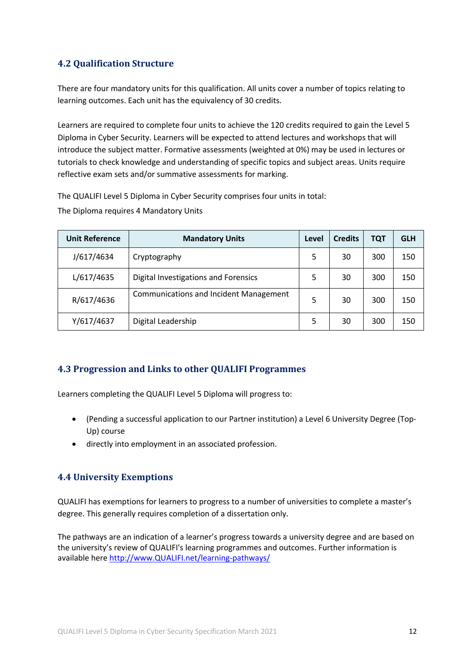# **4.2 Qualification Structure**

There are four mandatory units for this qualification. All units cover a number of topics relating to learning outcomes. Each unit has the equivalency of 30 credits.

Learners are required to complete four units to achieve the 120 credits required to gain the Level 5 Diploma in Cyber Security. Learners will be expected to attend lectures and workshops that will introduce the subject matter. Formative assessments (weighted at 0%) may be used in lectures or tutorials to check knowledge and understanding of specific topics and subject areas. Units require reflective exam sets and/or summative assessments for marking.

The QUALIFI Level 5 Diploma in Cyber Security comprises four units in total: The Diploma requires 4 Mandatory Units

| <b>Unit Reference</b> | <b>Mandatory Units</b>                        | Level | <b>Credits</b> | <b>TQT</b> | <b>GLH</b> |
|-----------------------|-----------------------------------------------|-------|----------------|------------|------------|
| J/617/4634            | Cryptography                                  | 5     | 30             | 300        | 150        |
| L/617/4635            | Digital Investigations and Forensics          | 5     | 30             | 300        | 150        |
| R/617/4636            | <b>Communications and Incident Management</b> | 5     | 30             | 300        | 150        |
| Y/617/4637            | Digital Leadership                            | 5     | 30             | 300        | 150        |

### **4.3 Progression and Links to other QUALIFI Programmes**

Learners completing the QUALIFI Level 5 Diploma will progress to:

- (Pending a successful application to our Partner institution) a Level 6 University Degree (Top-Up) course
- directly into employment in an associated profession.

### **4.4 University Exemptions**

QUALIFI has exemptions for learners to progress to a number of universities to complete a master's degree. This generally requires completion of a dissertation only.

The pathways are an indication of a learner's progress towards a university degree and are based on the university's review of QUALIFI's learning programmes and outcomes. Further information is available here http://www.QUALIFI.net/learning-pathways/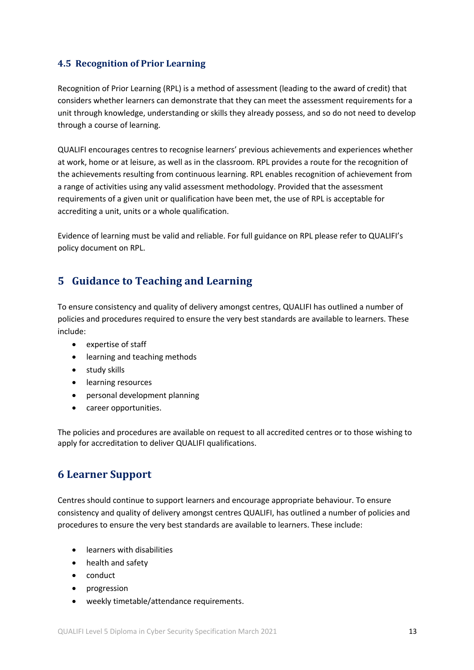# **4.5 Recognition of Prior Learning**

Recognition of Prior Learning (RPL) is a method of assessment (leading to the award of credit) that considers whether learners can demonstrate that they can meet the assessment requirements for a unit through knowledge, understanding or skills they already possess, and so do not need to develop through a course of learning.

QUALIFI encourages centres to recognise learners' previous achievements and experiences whether at work, home or at leisure, as well as in the classroom. RPL provides a route for the recognition of the achievements resulting from continuous learning. RPL enables recognition of achievement from a range of activities using any valid assessment methodology. Provided that the assessment requirements of a given unit or qualification have been met, the use of RPL is acceptable for accrediting a unit, units or a whole qualification.

Evidence of learning must be valid and reliable. For full guidance on RPL please refer to QUALIFI's policy document on RPL.

# **5 Guidance to Teaching and Learning**

To ensure consistency and quality of delivery amongst centres, QUALIFI has outlined a number of policies and procedures required to ensure the very best standards are available to learners. These include:

- expertise of staff
- learning and teaching methods
- study skills
- learning resources
- personal development planning
- career opportunities.

The policies and procedures are available on request to all accredited centres or to those wishing to apply for accreditation to deliver QUALIFI qualifications.

# **6 Learner Support**

Centres should continue to support learners and encourage appropriate behaviour. To ensure consistency and quality of delivery amongst centres QUALIFI, has outlined a number of policies and procedures to ensure the very best standards are available to learners. These include:

- learners with disabilities
- health and safety
- conduct
- progression
- weekly timetable/attendance requirements.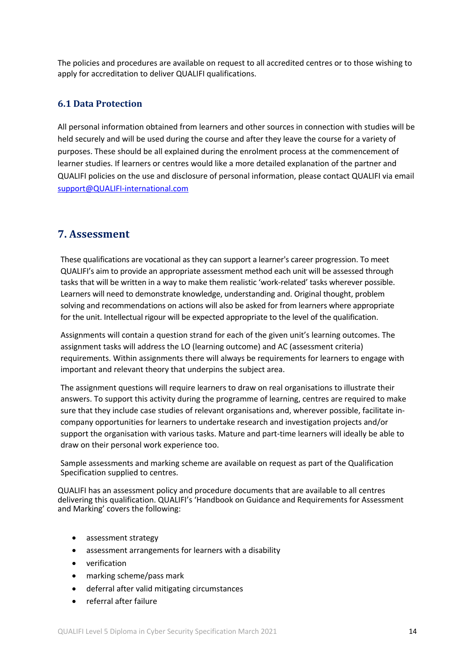The policies and procedures are available on request to all accredited centres or to those wishing to apply for accreditation to deliver QUALIFI qualifications.

### **6.1 Data Protection**

All personal information obtained from learners and other sources in connection with studies will be held securely and will be used during the course and after they leave the course for a variety of purposes. These should be all explained during the enrolment process at the commencement of learner studies. If learners or centres would like a more detailed explanation of the partner and QUALIFI policies on the use and disclosure of personal information, please contact QUALIFI via email support@QUALIFI-international.com

# **7. Assessment**

These qualifications are vocational as they can support a learner's career progression. To meet QUALIFI's aim to provide an appropriate assessment method each unit will be assessed through tasks that will be written in a way to make them realistic 'work-related' tasks wherever possible. Learners will need to demonstrate knowledge, understanding and. Original thought, problem solving and recommendations on actions will also be asked for from learners where appropriate for the unit. Intellectual rigour will be expected appropriate to the level of the qualification.

Assignments will contain a question strand for each of the given unit's learning outcomes. The assignment tasks will address the LO (learning outcome) and AC (assessment criteria) requirements. Within assignments there will always be requirements for learners to engage with important and relevant theory that underpins the subject area.

The assignment questions will require learners to draw on real organisations to illustrate their answers. To support this activity during the programme of learning, centres are required to make sure that they include case studies of relevant organisations and, wherever possible, facilitate incompany opportunities for learners to undertake research and investigation projects and/or support the organisation with various tasks. Mature and part-time learners will ideally be able to draw on their personal work experience too.

Sample assessments and marking scheme are available on request as part of the Qualification Specification supplied to centres.

QUALIFI has an assessment policy and procedure documents that are available to all centres delivering this qualification. QUALIFI's 'Handbook on Guidance and Requirements for Assessment and Marking' covers the following:

- assessment strategy
- assessment arrangements for learners with a disability
- verification
- marking scheme/pass mark
- deferral after valid mitigating circumstances
- referral after failure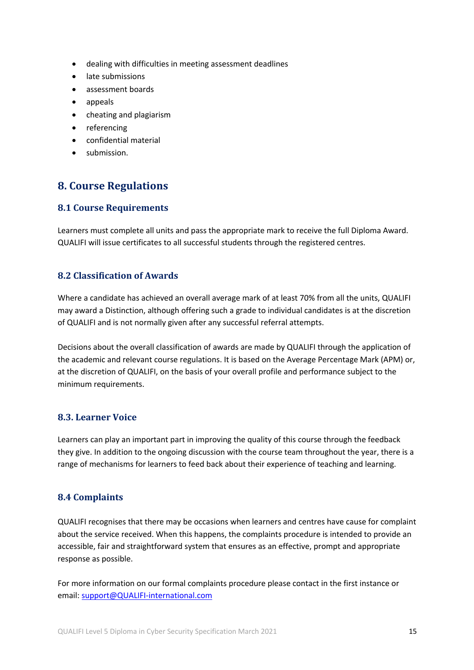- dealing with difficulties in meeting assessment deadlines
- late submissions
- assessment boards
- appeals
- cheating and plagiarism
- referencing
- confidential material
- submission.

# **8. Course Regulations**

### **8.1 Course Requirements**

Learners must complete all units and pass the appropriate mark to receive the full Diploma Award. QUALIFI will issue certificates to all successful students through the registered centres.

### **8.2 Classification of Awards**

Where a candidate has achieved an overall average mark of at least 70% from all the units, QUALIFI may award a Distinction, although offering such a grade to individual candidates is at the discretion of QUALIFI and is not normally given after any successful referral attempts.

Decisions about the overall classification of awards are made by QUALIFI through the application of the academic and relevant course regulations. It is based on the Average Percentage Mark (APM) or, at the discretion of QUALIFI, on the basis of your overall profile and performance subject to the minimum requirements.

### **8.3. Learner Voice**

Learners can play an important part in improving the quality of this course through the feedback they give. In addition to the ongoing discussion with the course team throughout the year, there is a range of mechanisms for learners to feed back about their experience of teaching and learning.

### **8.4 Complaints**

QUALIFI recognises that there may be occasions when learners and centres have cause for complaint about the service received. When this happens, the complaints procedure is intended to provide an accessible, fair and straightforward system that ensures as an effective, prompt and appropriate response as possible.

For more information on our formal complaints procedure please contact in the first instance or email: support@QUALIFI-international.com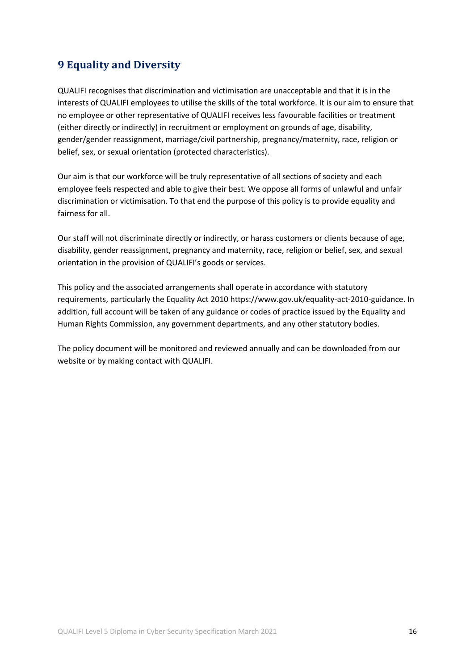# **9 Equality and Diversity**

QUALIFI recognises that discrimination and victimisation are unacceptable and that it is in the interests of QUALIFI employees to utilise the skills of the total workforce. It is our aim to ensure that no employee or other representative of QUALIFI receives less favourable facilities or treatment (either directly or indirectly) in recruitment or employment on grounds of age, disability, gender/gender reassignment, marriage/civil partnership, pregnancy/maternity, race, religion or belief, sex, or sexual orientation (protected characteristics).

Our aim is that our workforce will be truly representative of all sections of society and each employee feels respected and able to give their best. We oppose all forms of unlawful and unfair discrimination or victimisation. To that end the purpose of this policy is to provide equality and fairness for all.

Our staff will not discriminate directly or indirectly, or harass customers or clients because of age, disability, gender reassignment, pregnancy and maternity, race, religion or belief, sex, and sexual orientation in the provision of QUALIFI's goods or services.

This policy and the associated arrangements shall operate in accordance with statutory requirements, particularly the Equality Act 2010 https://www.gov.uk/equality-act-2010-guidance. In addition, full account will be taken of any guidance or codes of practice issued by the Equality and Human Rights Commission, any government departments, and any other statutory bodies.

The policy document will be monitored and reviewed annually and can be downloaded from our website or by making contact with QUALIFI.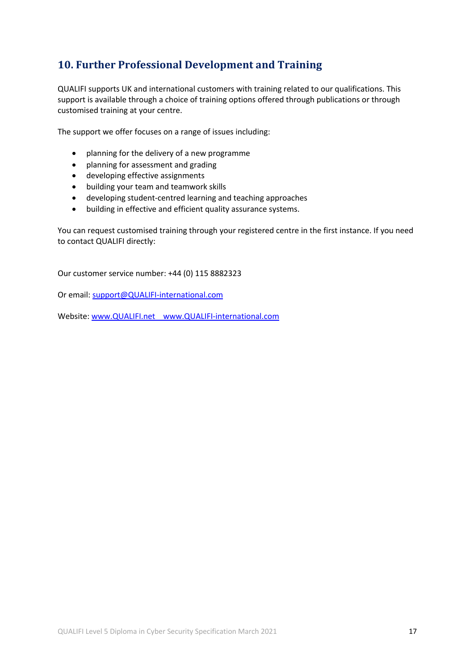# **10. Further Professional Development and Training**

QUALIFI supports UK and international customers with training related to our qualifications. This support is available through a choice of training options offered through publications or through customised training at your centre.

The support we offer focuses on a range of issues including:

- planning for the delivery of a new programme
- planning for assessment and grading
- developing effective assignments
- building your team and teamwork skills
- developing student-centred learning and teaching approaches
- building in effective and efficient quality assurance systems.

You can request customised training through your registered centre in the first instance. If you need to contact QUALIFI directly:

Our customer service number: +44 (0) 115 8882323

Or email: support@QUALIFI-international.com

Website: www.QUALIFI.net www.QUALIFI-international.com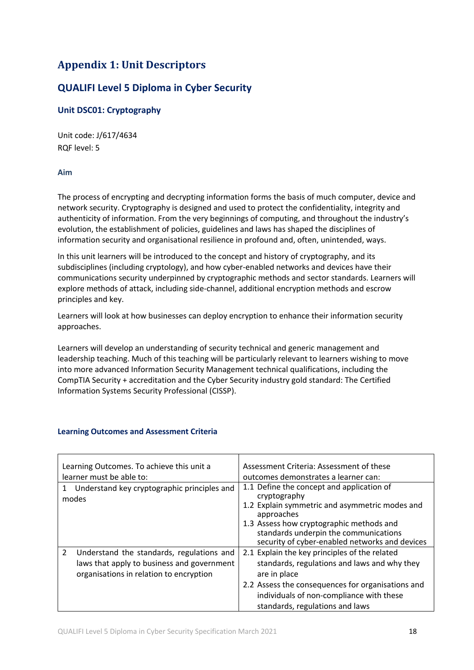# **Appendix 1: Unit Descriptors**

# **QUALIFI Level 5 Diploma in Cyber Security**

### **Unit DSC01: Cryptography**

Unit code: J/617/4634 RQF level: 5

### **Aim**

The process of encrypting and decrypting information forms the basis of much computer, device and network security. Cryptography is designed and used to protect the confidentiality, integrity and authenticity of information. From the very beginnings of computing, and throughout the industry's evolution, the establishment of policies, guidelines and laws has shaped the disciplines of information security and organisational resilience in profound and, often, unintended, ways.

In this unit learners will be introduced to the concept and history of cryptography, and its subdisciplines (including cryptology), and how cyber-enabled networks and devices have their communications security underpinned by cryptographic methods and sector standards. Learners will explore methods of attack, including side-channel, additional encryption methods and escrow principles and key.

Learners will look at how businesses can deploy encryption to enhance their information security approaches.

Learners will develop an understanding of security technical and generic management and leadership teaching. Much of this teaching will be particularly relevant to learners wishing to move into more advanced Information Security Management technical qualifications, including the CompTIA Security + accreditation and the Cyber Security industry gold standard: The Certified Information Systems Security Professional (CISSP).

| Learning Outcomes. To achieve this unit a<br>learner must be able to:<br>Understand key cryptographic principles and<br>modes           | Assessment Criteria: Assessment of these<br>outcomes demonstrates a learner can:<br>1.1 Define the concept and application of<br>cryptography<br>1.2 Explain symmetric and asymmetric modes and                                                   |  |
|-----------------------------------------------------------------------------------------------------------------------------------------|---------------------------------------------------------------------------------------------------------------------------------------------------------------------------------------------------------------------------------------------------|--|
|                                                                                                                                         | approaches<br>1.3 Assess how cryptographic methods and<br>standards underpin the communications<br>security of cyber-enabled networks and devices                                                                                                 |  |
| 2<br>Understand the standards, regulations and<br>laws that apply to business and government<br>organisations in relation to encryption | 2.1 Explain the key principles of the related<br>standards, regulations and laws and why they<br>are in place<br>2.2 Assess the consequences for organisations and<br>individuals of non-compliance with these<br>standards, regulations and laws |  |

### **Learning Outcomes and Assessment Criteria**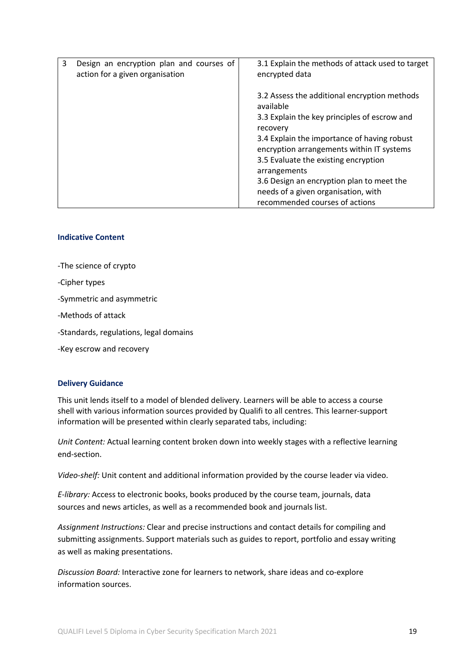| 3<br>Design an encryption plan and courses of<br>action for a given organisation | 3.1 Explain the methods of attack used to target<br>encrypted data                                                                                                                                                                                                                                                                                                                              |
|----------------------------------------------------------------------------------|-------------------------------------------------------------------------------------------------------------------------------------------------------------------------------------------------------------------------------------------------------------------------------------------------------------------------------------------------------------------------------------------------|
|                                                                                  | 3.2 Assess the additional encryption methods<br>available<br>3.3 Explain the key principles of escrow and<br>recovery<br>3.4 Explain the importance of having robust<br>encryption arrangements within IT systems<br>3.5 Evaluate the existing encryption<br>arrangements<br>3.6 Design an encryption plan to meet the<br>needs of a given organisation, with<br>recommended courses of actions |

#### **Indicative Content**

-The science of crypto

-Cipher types

-Symmetric and asymmetric

-Methods of attack

-Standards, regulations, legal domains

-Key escrow and recovery

#### **Delivery Guidance**

This unit lends itself to a model of blended delivery. Learners will be able to access a course shell with various information sources provided by Qualifi to all centres. This learner-support information will be presented within clearly separated tabs, including:

*Unit Content:* Actual learning content broken down into weekly stages with a reflective learning end-section.

*Video-shelf:* Unit content and additional information provided by the course leader via video.

*E-library:* Access to electronic books, books produced by the course team, journals, data sources and news articles, as well as a recommended book and journals list.

*Assignment Instructions:* Clear and precise instructions and contact details for compiling and submitting assignments. Support materials such as guides to report, portfolio and essay writing as well as making presentations.

*Discussion Board:* Interactive zone for learners to network, share ideas and co-explore information sources.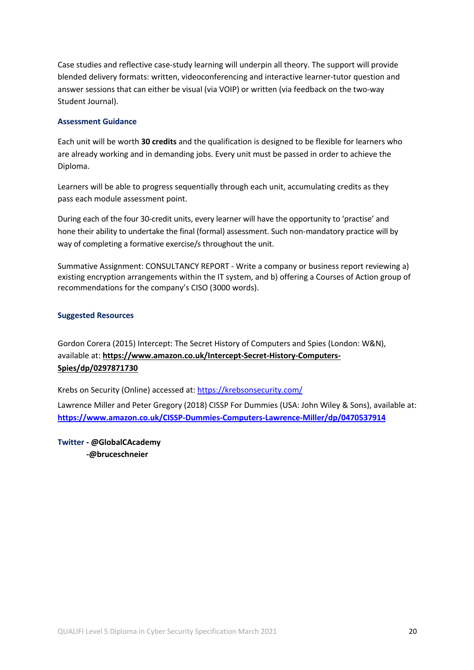Case studies and reflective case-study learning will underpin all theory. The support will provide blended delivery formats: written, videoconferencing and interactive learner-tutor question and answer sessions that can either be visual (via VOIP) or written (via feedback on the two-way Student Journal).

### **Assessment Guidance**

Each unit will be worth **30 credits** and the qualification is designed to be flexible for learners who are already working and in demanding jobs. Every unit must be passed in order to achieve the Diploma.

Learners will be able to progress sequentially through each unit, accumulating credits as they pass each module assessment point.

During each of the four 30-credit units, every learner will have the opportunity to 'practise' and hone their ability to undertake the final (formal) assessment. Such non-mandatory practice will by way of completing a formative exercise/s throughout the unit.

Summative Assignment: CONSULTANCY REPORT - Write a company or business report reviewing a) existing encryption arrangements within the IT system, and b) offering a Courses of Action group of recommendations for the company's CISO (3000 words).

### **Suggested Resources**

Gordon Corera (2015) Intercept: The Secret History of Computers and Spies (London: W&N), available at: **https://www.amazon.co.uk/Intercept-Secret-History-Computers-Spies/dp/0297871730**

Krebs on Security (Online) accessed at: https://krebsonsecurity.com/

Lawrence Miller and Peter Gregory (2018) CISSP For Dummies (USA: John Wiley & Sons), available at: **https://www.amazon.co.uk/CISSP-Dummies-Computers-Lawrence-Miller/dp/0470537914**

**Twitter - @GlobalCAcademy -@bruceschneier**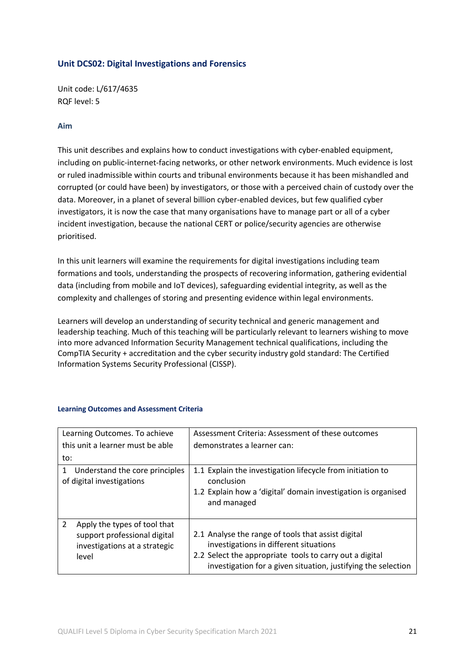### **Unit DCS02: Digital Investigations and Forensics**

Unit code: L/617/4635 RQF level: 5

### **Aim**

This unit describes and explains how to conduct investigations with cyber-enabled equipment, including on public-internet-facing networks, or other network environments. Much evidence is lost or ruled inadmissible within courts and tribunal environments because it has been mishandled and corrupted (or could have been) by investigators, or those with a perceived chain of custody over the data. Moreover, in a planet of several billion cyber-enabled devices, but few qualified cyber investigators, it is now the case that many organisations have to manage part or all of a cyber incident investigation, because the national CERT or police/security agencies are otherwise prioritised.

In this unit learners will examine the requirements for digital investigations including team formations and tools, understanding the prospects of recovering information, gathering evidential data (including from mobile and IoT devices), safeguarding evidential integrity, as well as the complexity and challenges of storing and presenting evidence within legal environments.

Learners will develop an understanding of security technical and generic management and leadership teaching. Much of this teaching will be particularly relevant to learners wishing to move into more advanced Information Security Management technical qualifications, including the CompTIA Security + accreditation and the cyber security industry gold standard: The Certified Information Systems Security Professional (CISSP).

| Learning Outcomes. To achieve                                                                                            | Assessment Criteria: Assessment of these outcomes                                                                                                                                                                        |  |  |
|--------------------------------------------------------------------------------------------------------------------------|--------------------------------------------------------------------------------------------------------------------------------------------------------------------------------------------------------------------------|--|--|
| this unit a learner must be able                                                                                         | demonstrates a learner can:                                                                                                                                                                                              |  |  |
| to:                                                                                                                      |                                                                                                                                                                                                                          |  |  |
| Understand the core principles<br>1<br>of digital investigations                                                         | 1.1 Explain the investigation lifecycle from initiation to<br>conclusion<br>1.2 Explain how a 'digital' domain investigation is organised<br>and managed                                                                 |  |  |
| $\overline{2}$<br>Apply the types of tool that<br>support professional digital<br>investigations at a strategic<br>level | 2.1 Analyse the range of tools that assist digital<br>investigations in different situations<br>2.2 Select the appropriate tools to carry out a digital<br>investigation for a given situation, justifying the selection |  |  |

### **Learning Outcomes and Assessment Criteria**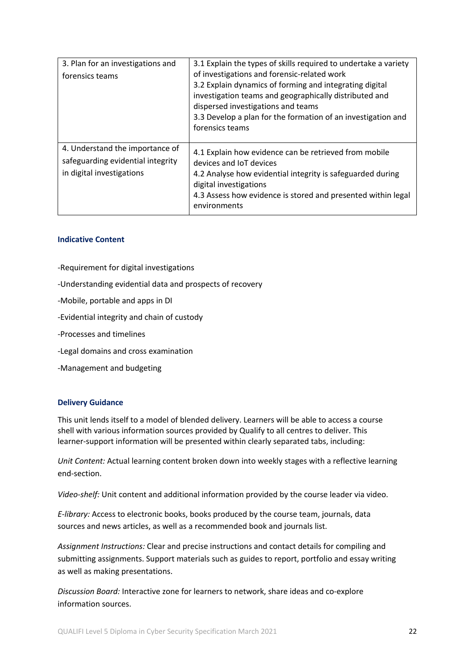| 3. Plan for an investigations and<br>forensics teams                                              | 3.1 Explain the types of skills required to undertake a variety<br>of investigations and forensic-related work<br>3.2 Explain dynamics of forming and integrating digital<br>investigation teams and geographically distributed and<br>dispersed investigations and teams<br>3.3 Develop a plan for the formation of an investigation and<br>forensics teams |
|---------------------------------------------------------------------------------------------------|--------------------------------------------------------------------------------------------------------------------------------------------------------------------------------------------------------------------------------------------------------------------------------------------------------------------------------------------------------------|
| 4. Understand the importance of<br>safeguarding evidential integrity<br>in digital investigations | 4.1 Explain how evidence can be retrieved from mobile<br>devices and IoT devices<br>4.2 Analyse how evidential integrity is safeguarded during<br>digital investigations<br>4.3 Assess how evidence is stored and presented within legal<br>environments                                                                                                     |

### **Indicative Content**

- -Requirement for digital investigations
- -Understanding evidential data and prospects of recovery
- -Mobile, portable and apps in DI
- -Evidential integrity and chain of custody
- -Processes and timelines
- -Legal domains and cross examination
- -Management and budgeting

#### **Delivery Guidance**

This unit lends itself to a model of blended delivery. Learners will be able to access a course shell with various information sources provided by Qualify to all centres to deliver. This learner-support information will be presented within clearly separated tabs, including:

*Unit Content:* Actual learning content broken down into weekly stages with a reflective learning end-section.

*Video-shelf:* Unit content and additional information provided by the course leader via video.

*E-library:* Access to electronic books, books produced by the course team, journals, data sources and news articles, as well as a recommended book and journals list.

*Assignment Instructions:* Clear and precise instructions and contact details for compiling and submitting assignments. Support materials such as guides to report, portfolio and essay writing as well as making presentations.

*Discussion Board:* Interactive zone for learners to network, share ideas and co-explore information sources.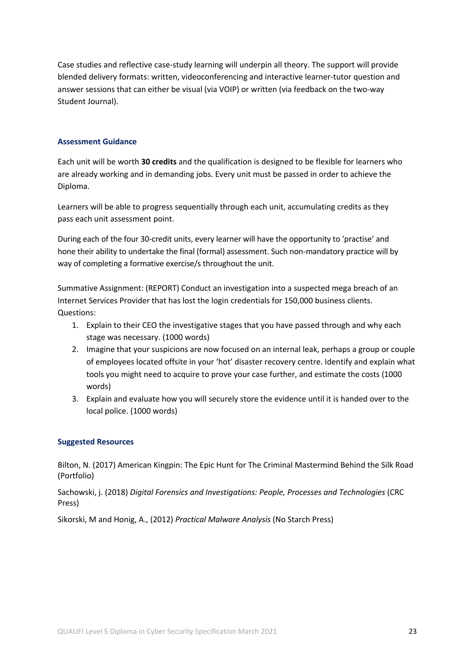Case studies and reflective case-study learning will underpin all theory. The support will provide blended delivery formats: written, videoconferencing and interactive learner-tutor question and answer sessions that can either be visual (via VOIP) or written (via feedback on the two-way Student Journal).

### **Assessment Guidance**

Each unit will be worth **30 credits** and the qualification is designed to be flexible for learners who are already working and in demanding jobs. Every unit must be passed in order to achieve the Diploma.

Learners will be able to progress sequentially through each unit, accumulating credits as they pass each unit assessment point.

During each of the four 30-credit units, every learner will have the opportunity to 'practise' and hone their ability to undertake the final (formal) assessment. Such non-mandatory practice will by way of completing a formative exercise/s throughout the unit.

Summative Assignment: (REPORT) Conduct an investigation into a suspected mega breach of an Internet Services Provider that has lost the login credentials for 150,000 business clients. Questions:

- 1. Explain to their CEO the investigative stages that you have passed through and why each stage was necessary. (1000 words)
- 2. Imagine that your suspicions are now focused on an internal leak, perhaps a group or couple of employees located offsite in your 'hot' disaster recovery centre. Identify and explain what tools you might need to acquire to prove your case further, and estimate the costs (1000 words)
- 3. Explain and evaluate how you will securely store the evidence until it is handed over to the local police. (1000 words)

### **Suggested Resources**

Bilton, N. (2017) American Kingpin: The Epic Hunt for The Criminal Mastermind Behind the Silk Road (Portfolio)

Sachowski, j. (2018) *Digital Forensics and Investigations: People, Processes and Technologies* (CRC Press)

Sikorski, M and Honig, A., (2012) *Practical Malware Analysis* (No Starch Press)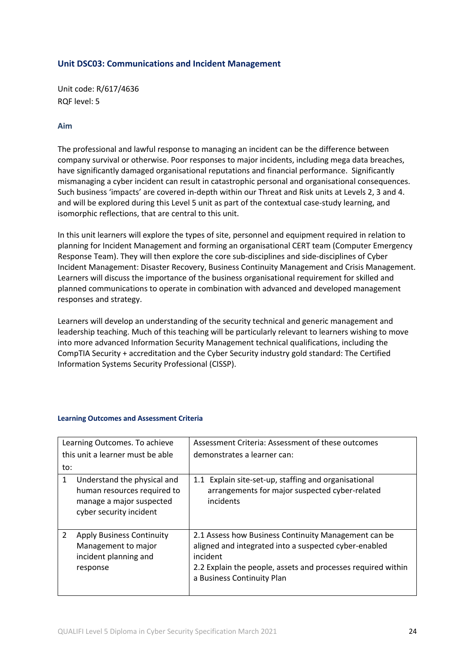### **Unit DSC03: Communications and Incident Management**

Unit code: R/617/4636 RQF level: 5

### **Aim**

The professional and lawful response to managing an incident can be the difference between company survival or otherwise. Poor responses to major incidents, including mega data breaches, have significantly damaged organisational reputations and financial performance. Significantly mismanaging a cyber incident can result in catastrophic personal and organisational consequences. Such business 'impacts' are covered in-depth within our Threat and Risk units at Levels 2, 3 and 4. and will be explored during this Level 5 unit as part of the contextual case-study learning, and isomorphic reflections, that are central to this unit.

In this unit learners will explore the types of site, personnel and equipment required in relation to planning for Incident Management and forming an organisational CERT team (Computer Emergency Response Team). They will then explore the core sub-disciplines and side-disciplines of Cyber Incident Management: Disaster Recovery, Business Continuity Management and Crisis Management. Learners will discuss the importance of the business organisational requirement for skilled and planned communications to operate in combination with advanced and developed management responses and strategy.

Learners will develop an understanding of the security technical and generic management and leadership teaching. Much of this teaching will be particularly relevant to learners wishing to move into more advanced Information Security Management technical qualifications, including the CompTIA Security + accreditation and the Cyber Security industry gold standard: The Certified Information Systems Security Professional (CISSP).

| Learning Outcomes. To achieve<br>this unit a learner must be able                                                      | Assessment Criteria: Assessment of these outcomes<br>demonstrates a learner can:                                                                                                                                        |
|------------------------------------------------------------------------------------------------------------------------|-------------------------------------------------------------------------------------------------------------------------------------------------------------------------------------------------------------------------|
| to:                                                                                                                    |                                                                                                                                                                                                                         |
| Understand the physical and<br>1<br>human resources required to<br>manage a major suspected<br>cyber security incident | 1.1 Explain site-set-up, staffing and organisational<br>arrangements for major suspected cyber-related<br>incidents                                                                                                     |
| 2<br><b>Apply Business Continuity</b><br>Management to major<br>incident planning and<br>response                      | 2.1 Assess how Business Continuity Management can be<br>aligned and integrated into a suspected cyber-enabled<br>incident<br>2.2 Explain the people, assets and processes required within<br>a Business Continuity Plan |

#### **Learning Outcomes and Assessment Criteria**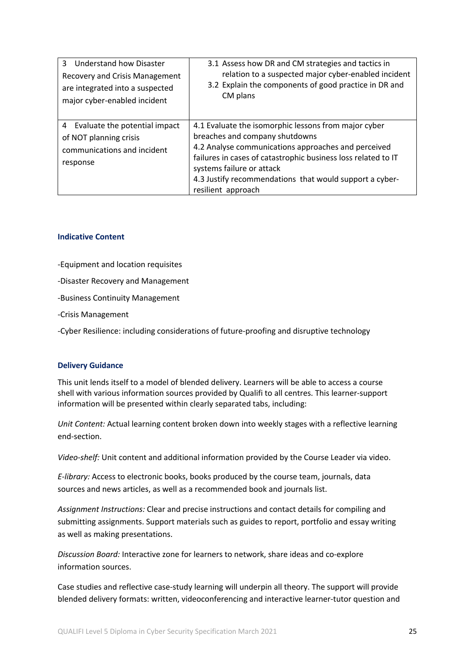| 3<br>Understand how Disaster<br>Recovery and Crisis Management<br>are integrated into a suspected<br>major cyber-enabled incident | 3.1 Assess how DR and CM strategies and tactics in<br>relation to a suspected major cyber-enabled incident<br>3.2 Explain the components of good practice in DR and<br>CM plans                                                                                                                                              |
|-----------------------------------------------------------------------------------------------------------------------------------|------------------------------------------------------------------------------------------------------------------------------------------------------------------------------------------------------------------------------------------------------------------------------------------------------------------------------|
| Evaluate the potential impact<br>4<br>of NOT planning crisis<br>communications and incident<br>response                           | 4.1 Evaluate the isomorphic lessons from major cyber<br>breaches and company shutdowns<br>4.2 Analyse communications approaches and perceived<br>failures in cases of catastrophic business loss related to IT<br>systems failure or attack<br>4.3 Justify recommendations that would support a cyber-<br>resilient approach |

#### **Indicative Content**

-Equipment and location requisites

- -Disaster Recovery and Management
- -Business Continuity Management
- -Crisis Management

-Cyber Resilience: including considerations of future-proofing and disruptive technology

#### **Delivery Guidance**

This unit lends itself to a model of blended delivery. Learners will be able to access a course shell with various information sources provided by Qualifi to all centres. This learner-support information will be presented within clearly separated tabs, including:

*Unit Content:* Actual learning content broken down into weekly stages with a reflective learning end-section.

*Video-shelf:* Unit content and additional information provided by the Course Leader via video.

*E-library:* Access to electronic books, books produced by the course team, journals, data sources and news articles, as well as a recommended book and journals list.

*Assignment Instructions:* Clear and precise instructions and contact details for compiling and submitting assignments. Support materials such as guides to report, portfolio and essay writing as well as making presentations.

*Discussion Board:* Interactive zone for learners to network, share ideas and co-explore information sources.

Case studies and reflective case-study learning will underpin all theory. The support will provide blended delivery formats: written, videoconferencing and interactive learner-tutor question and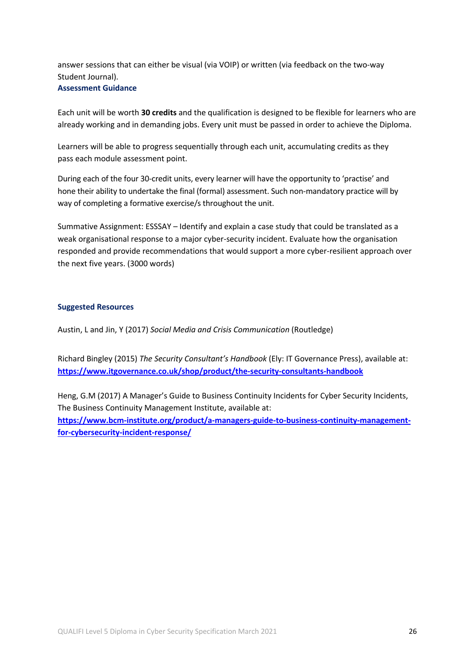answer sessions that can either be visual (via VOIP) or written (via feedback on the two-way Student Journal). **Assessment Guidance**

Each unit will be worth **30 credits** and the qualification is designed to be flexible for learners who are already working and in demanding jobs. Every unit must be passed in order to achieve the Diploma.

Learners will be able to progress sequentially through each unit, accumulating credits as they pass each module assessment point.

During each of the four 30-credit units, every learner will have the opportunity to 'practise' and hone their ability to undertake the final (formal) assessment. Such non-mandatory practice will by way of completing a formative exercise/s throughout the unit.

Summative Assignment: ESSSAY – Identify and explain a case study that could be translated as a weak organisational response to a major cyber-security incident. Evaluate how the organisation responded and provide recommendations that would support a more cyber-resilient approach over the next five years. (3000 words)

### **Suggested Resources**

Austin, L and Jin, Y (2017) *Social Media and Crisis Communication* (Routledge)

Richard Bingley (2015) *The Security Consultant's Handbook* (Ely: IT Governance Press), available at: **https://www.itgovernance.co.uk/shop/product/the-security-consultants-handbook**

Heng, G.M (2017) A Manager's Guide to Business Continuity Incidents for Cyber Security Incidents, The Business Continuity Management Institute, available at: **https://www.bcm-institute.org/product/a-managers-guide-to-business-continuity-managementfor-cybersecurity-incident-response/**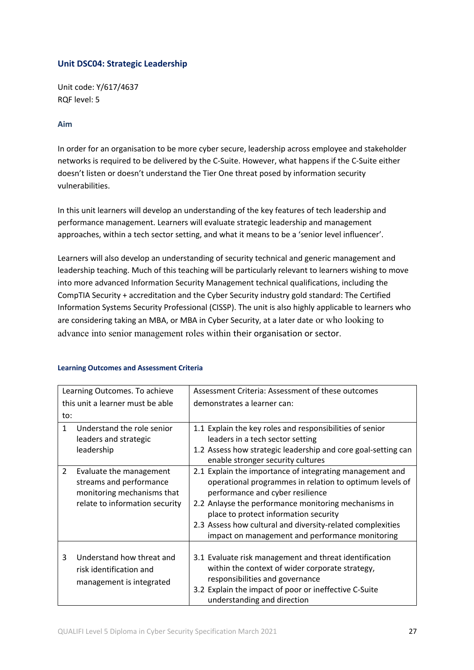### **Unit DSC04: Strategic Leadership**

Unit code: Y/617/4637 RQF level: 5

### **Aim**

In order for an organisation to be more cyber secure, leadership across employee and stakeholder networks is required to be delivered by the C-Suite. However, what happens if the C-Suite either doesn't listen or doesn't understand the Tier One threat posed by information security vulnerabilities.

In this unit learners will develop an understanding of the key features of tech leadership and performance management. Learners will evaluate strategic leadership and management approaches, within a tech sector setting, and what it means to be a 'senior level influencer'.

Learners will also develop an understanding of security technical and generic management and leadership teaching. Much of this teaching will be particularly relevant to learners wishing to move into more advanced Information Security Management technical qualifications, including the CompTIA Security + accreditation and the Cyber Security industry gold standard: The Certified Information Systems Security Professional (CISSP). The unit is also highly applicable to learners who are considering taking an MBA, or MBA in Cyber Security, at a later date or who looking to advance into senior management roles within their organisation or sector.

|                                  | Learning Outcomes. To achieve                                                                                      | Assessment Criteria: Assessment of these outcomes                                                                                                                                                                                                                                                                                                                         |
|----------------------------------|--------------------------------------------------------------------------------------------------------------------|---------------------------------------------------------------------------------------------------------------------------------------------------------------------------------------------------------------------------------------------------------------------------------------------------------------------------------------------------------------------------|
| this unit a learner must be able |                                                                                                                    | demonstrates a learner can:                                                                                                                                                                                                                                                                                                                                               |
| to:                              |                                                                                                                    |                                                                                                                                                                                                                                                                                                                                                                           |
| $\mathbf{1}$                     | Understand the role senior                                                                                         | 1.1 Explain the key roles and responsibilities of senior                                                                                                                                                                                                                                                                                                                  |
|                                  | leaders and strategic<br>leadership                                                                                | leaders in a tech sector setting<br>1.2 Assess how strategic leadership and core goal-setting can<br>enable stronger security cultures                                                                                                                                                                                                                                    |
| 2                                | Evaluate the management<br>streams and performance<br>monitoring mechanisms that<br>relate to information security | 2.1 Explain the importance of integrating management and<br>operational programmes in relation to optimum levels of<br>performance and cyber resilience<br>2.2 Anlayse the performance monitoring mechanisms in<br>place to protect information security<br>2.3 Assess how cultural and diversity-related complexities<br>impact on management and performance monitoring |
| 3                                | Understand how threat and<br>risk identification and<br>management is integrated                                   | 3.1 Evaluate risk management and threat identification<br>within the context of wider corporate strategy,<br>responsibilities and governance<br>3.2 Explain the impact of poor or ineffective C-Suite<br>understanding and direction                                                                                                                                      |

### **Learning Outcomes and Assessment Criteria**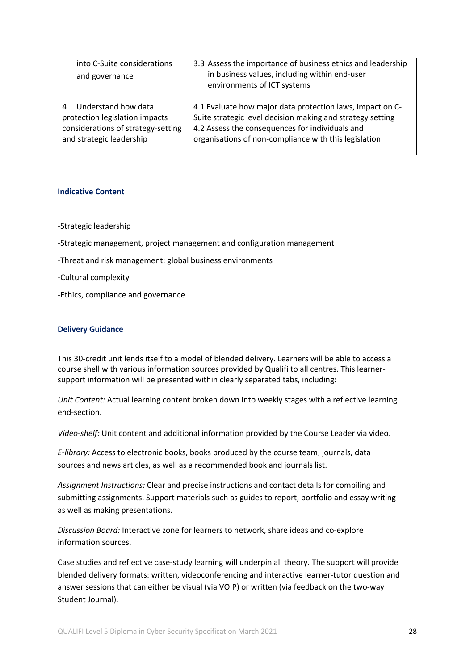| into C-Suite considerations<br>and governance                                                                                | 3.3 Assess the importance of business ethics and leadership<br>in business values, including within end-user<br>environments of ICT systems                                                                                         |
|------------------------------------------------------------------------------------------------------------------------------|-------------------------------------------------------------------------------------------------------------------------------------------------------------------------------------------------------------------------------------|
| Understand how data<br>4<br>protection legislation impacts<br>considerations of strategy-setting<br>and strategic leadership | 4.1 Evaluate how major data protection laws, impact on C-<br>Suite strategic level decision making and strategy setting<br>4.2 Assess the consequences for individuals and<br>organisations of non-compliance with this legislation |

#### **Indicative Content**

-Strategic leadership

-Strategic management, project management and configuration management

-Threat and risk management: global business environments

-Cultural complexity

-Ethics, compliance and governance

#### **Delivery Guidance**

This 30-credit unit lends itself to a model of blended delivery. Learners will be able to access a course shell with various information sources provided by Qualifi to all centres. This learnersupport information will be presented within clearly separated tabs, including:

*Unit Content:* Actual learning content broken down into weekly stages with a reflective learning end-section.

*Video-shelf:* Unit content and additional information provided by the Course Leader via video.

*E-library:* Access to electronic books, books produced by the course team, journals, data sources and news articles, as well as a recommended book and journals list.

*Assignment Instructions:* Clear and precise instructions and contact details for compiling and submitting assignments. Support materials such as guides to report, portfolio and essay writing as well as making presentations.

*Discussion Board:* Interactive zone for learners to network, share ideas and co-explore information sources.

Case studies and reflective case-study learning will underpin all theory. The support will provide blended delivery formats: written, videoconferencing and interactive learner-tutor question and answer sessions that can either be visual (via VOIP) or written (via feedback on the two-way Student Journal).